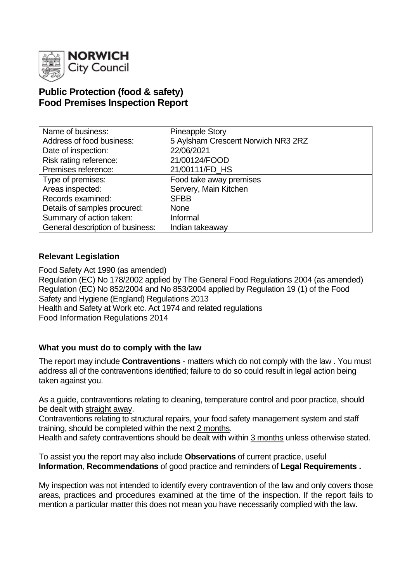

# **Public Protection (food & safety) Food Premises Inspection Report**

| Name of business:                | <b>Pineapple Story</b>             |
|----------------------------------|------------------------------------|
| Address of food business:        | 5 Aylsham Crescent Norwich NR3 2RZ |
| Date of inspection:              | 22/06/2021                         |
| Risk rating reference:           | 21/00124/FOOD                      |
| Premises reference:              | 21/00111/FD HS                     |
| Type of premises:                | Food take away premises            |
| Areas inspected:                 | Servery, Main Kitchen              |
| Records examined:                | <b>SFBB</b>                        |
| Details of samples procured:     | <b>None</b>                        |
| Summary of action taken:         | Informal                           |
| General description of business: | Indian takeaway                    |

### **Relevant Legislation**

Food Safety Act 1990 (as amended) Regulation (EC) No 178/2002 applied by The General Food Regulations 2004 (as amended) Regulation (EC) No 852/2004 and No 853/2004 applied by Regulation 19 (1) of the Food Safety and Hygiene (England) Regulations 2013 Health and Safety at Work etc. Act 1974 and related regulations Food Information Regulations 2014

# **What you must do to comply with the law**

The report may include **Contraventions** - matters which do not comply with the law . You must address all of the contraventions identified; failure to do so could result in legal action being taken against you.

As a guide, contraventions relating to cleaning, temperature control and poor practice, should be dealt with straight away.

Contraventions relating to structural repairs, your food safety management system and staff training, should be completed within the next 2 months.

Health and safety contraventions should be dealt with within 3 months unless otherwise stated.

To assist you the report may also include **Observations** of current practice, useful **Information**, **Recommendations** of good practice and reminders of **Legal Requirements .**

My inspection was not intended to identify every contravention of the law and only covers those areas, practices and procedures examined at the time of the inspection. If the report fails to mention a particular matter this does not mean you have necessarily complied with the law.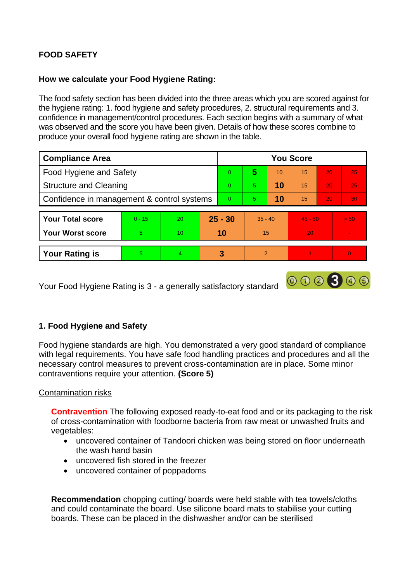# **FOOD SAFETY**

# **How we calculate your Food Hygiene Rating:**

The food safety section has been divided into the three areas which you are scored against for the hygiene rating: 1. food hygiene and safety procedures, 2. structural requirements and 3. confidence in management/control procedures. Each section begins with a summary of what was observed and the score you have been given. Details of how these scores combine to produce your overall food hygiene rating are shown in the table.

| <b>Compliance Area</b>                     |          |    | <b>You Score</b> |                |                |    |           |                 |          |  |
|--------------------------------------------|----------|----|------------------|----------------|----------------|----|-----------|-----------------|----------|--|
| Food Hygiene and Safety                    |          |    |                  | $\overline{0}$ | 5              | 10 | 15        | 20              | 25       |  |
| <b>Structure and Cleaning</b>              |          |    | $\Omega$         | 5              | 10             | 15 | 20        | 25              |          |  |
| Confidence in management & control systems |          |    | $\Omega$         | 10<br>5.       |                | 15 | 20        | 30 <sub>1</sub> |          |  |
|                                            |          |    |                  |                |                |    |           |                 |          |  |
| <b>Your Total score</b>                    | $0 - 15$ | 20 | $25 - 30$        |                | $35 - 40$      |    | $45 - 50$ |                 | > 50     |  |
| <b>Your Worst score</b>                    | 5        | 10 | 10               |                | 15             |    | 20        |                 | $\sim$   |  |
|                                            |          |    |                  |                |                |    |           |                 |          |  |
| <b>Your Rating is</b>                      | 5        | 4  |                  | 3              | $\overline{2}$ |    |           |                 | $\bf{0}$ |  |

Your Food Hygiene Rating is 3 - a generally satisfactory standard

# 000300

# **1. Food Hygiene and Safety**

Food hygiene standards are high. You demonstrated a very good standard of compliance with legal requirements. You have safe food handling practices and procedures and all the necessary control measures to prevent cross-contamination are in place. Some minor contraventions require your attention. **(Score 5)**

#### Contamination risks

**Contravention** The following exposed ready-to-eat food and or its packaging to the risk of cross-contamination with foodborne bacteria from raw meat or unwashed fruits and vegetables:

- uncovered container of Tandoori chicken was being stored on floor underneath the wash hand basin
- uncovered fish stored in the freezer
- uncovered container of poppadoms

**Recommendation** chopping cutting/ boards were held stable with tea towels/cloths and could contaminate the board. Use silicone board mats to stabilise your cutting boards. These can be placed in the dishwasher and/or can be sterilised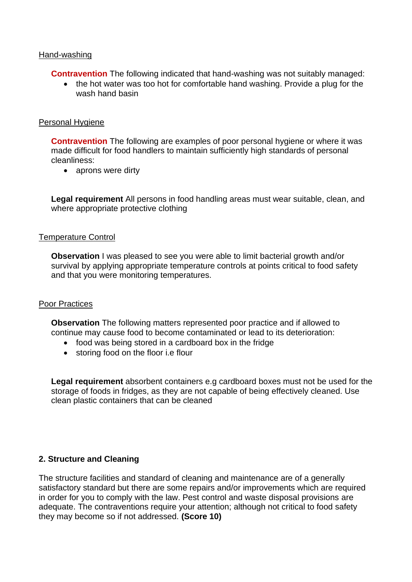#### Hand-washing

**Contravention** The following indicated that hand-washing was not suitably managed:

• the hot water was too hot for comfortable hand washing. Provide a plug for the wash hand basin

#### Personal Hygiene

**Contravention** The following are examples of poor personal hygiene or where it was made difficult for food handlers to maintain sufficiently high standards of personal cleanliness:

• aprons were dirty

**Legal requirement** All persons in food handling areas must wear suitable, clean, and where appropriate protective clothing

#### Temperature Control

**Observation** I was pleased to see you were able to limit bacterial growth and/or survival by applying appropriate temperature controls at points critical to food safety and that you were monitoring temperatures.

#### Poor Practices

**Observation** The following matters represented poor practice and if allowed to continue may cause food to become contaminated or lead to its deterioration:

- food was being stored in a cardboard box in the fridge
- storing food on the floor i.e flour

**Legal requirement** absorbent containers e.g cardboard boxes must not be used for the storage of foods in fridges, as they are not capable of being effectively cleaned. Use clean plastic containers that can be cleaned

#### **2. Structure and Cleaning**

The structure facilities and standard of cleaning and maintenance are of a generally satisfactory standard but there are some repairs and/or improvements which are required in order for you to comply with the law. Pest control and waste disposal provisions are adequate. The contraventions require your attention; although not critical to food safety they may become so if not addressed. **(Score 10)**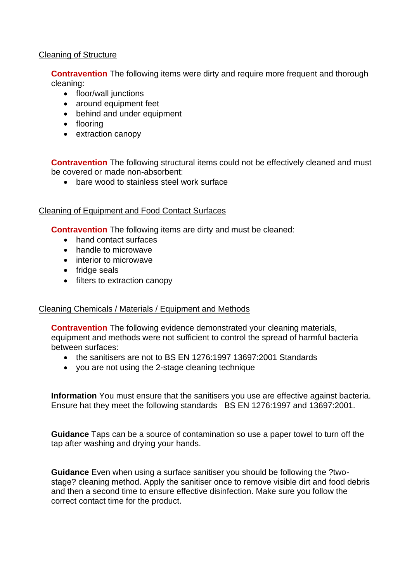#### Cleaning of Structure

**Contravention** The following items were dirty and require more frequent and thorough cleaning:

- floor/wall junctions
- around equipment feet
- behind and under equipment
- flooring
- extraction canopy

**Contravention** The following structural items could not be effectively cleaned and must be covered or made non-absorbent:

• bare wood to stainless steel work surface

#### Cleaning of Equipment and Food Contact Surfaces

**Contravention** The following items are dirty and must be cleaned:

- hand contact surfaces
- handle to microwave
- interior to microwave
- fridge seals
- filters to extraction canopy

#### Cleaning Chemicals / Materials / Equipment and Methods

**Contravention** The following evidence demonstrated your cleaning materials, equipment and methods were not sufficient to control the spread of harmful bacteria between surfaces:

- the sanitisers are not to BS EN 1276:1997 13697:2001 Standards
- you are not using the 2-stage cleaning technique

**Information** You must ensure that the sanitisers you use are effective against bacteria. Ensure hat they meet the following standards BS EN 1276:1997 and 13697:2001.

**Guidance** Taps can be a source of contamination so use a paper towel to turn off the tap after washing and drying your hands.

**Guidance** Even when using a surface sanitiser you should be following the ?twostage? cleaning method. Apply the sanitiser once to remove visible dirt and food debris and then a second time to ensure effective disinfection. Make sure you follow the correct contact time for the product.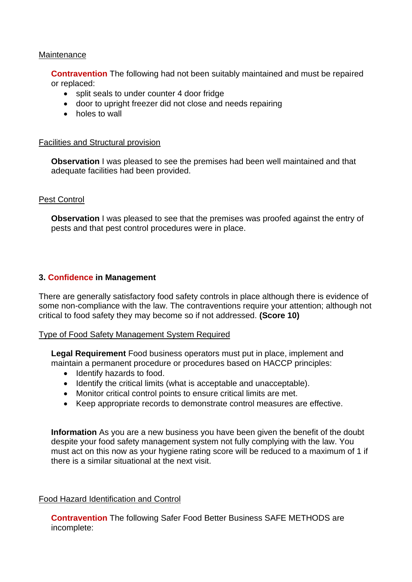#### **Maintenance**

**Contravention** The following had not been suitably maintained and must be repaired or replaced:

- split seals to under counter 4 door fridge
- door to upright freezer did not close and needs repairing
- holes to wall

#### Facilities and Structural provision

**Observation** I was pleased to see the premises had been well maintained and that adequate facilities had been provided.

#### Pest Control

**Observation** I was pleased to see that the premises was proofed against the entry of pests and that pest control procedures were in place.

#### **3. Confidence in Management**

There are generally satisfactory food safety controls in place although there is evidence of some non-compliance with the law. The contraventions require your attention; although not critical to food safety they may become so if not addressed. **(Score 10)**

#### Type of Food Safety Management System Required

**Legal Requirement** Food business operators must put in place, implement and maintain a permanent procedure or procedures based on HACCP principles:

- Identify hazards to food.
- Identify the critical limits (what is acceptable and unacceptable).
- Monitor critical control points to ensure critical limits are met.
- Keep appropriate records to demonstrate control measures are effective.

**Information** As you are a new business you have been given the benefit of the doubt despite your food safety management system not fully complying with the law. You must act on this now as your hygiene rating score will be reduced to a maximum of 1 if there is a similar situational at the next visit.

#### Food Hazard Identification and Control

**Contravention** The following Safer Food Better Business SAFE METHODS are incomplete: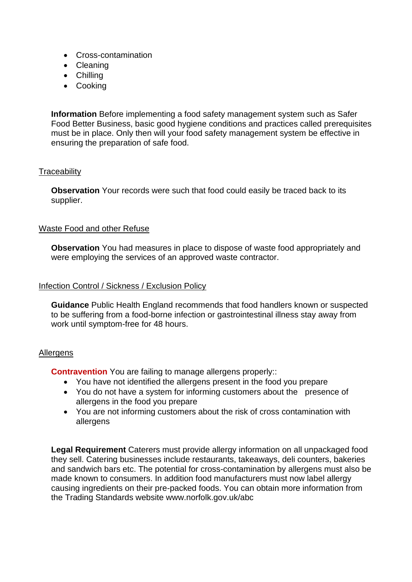- Cross-contamination
- Cleaning
- Chilling
- Cooking

**Information** Before implementing a food safety management system such as Safer Food Better Business, basic good hygiene conditions and practices called prerequisites must be in place. Only then will your food safety management system be effective in ensuring the preparation of safe food.

#### **Traceability**

**Observation** Your records were such that food could easily be traced back to its supplier.

#### Waste Food and other Refuse

**Observation** You had measures in place to dispose of waste food appropriately and were employing the services of an approved waste contractor.

#### Infection Control / Sickness / Exclusion Policy

**Guidance** Public Health England recommends that food handlers known or suspected to be suffering from a food-borne infection or gastrointestinal illness stay away from work until symptom-free for 48 hours.

#### **Allergens**

**Contravention** You are failing to manage allergens properly::

- You have not identified the allergens present in the food you prepare
- You do not have a system for informing customers about the presence of allergens in the food you prepare
- You are not informing customers about the risk of cross contamination with allergens

**Legal Requirement** Caterers must provide allergy information on all unpackaged food they sell. Catering businesses include restaurants, takeaways, deli counters, bakeries and sandwich bars etc. The potential for cross-contamination by allergens must also be made known to consumers. In addition food manufacturers must now label allergy causing ingredients on their pre-packed foods. You can obtain more information from the Trading Standards website www.norfolk.gov.uk/abc